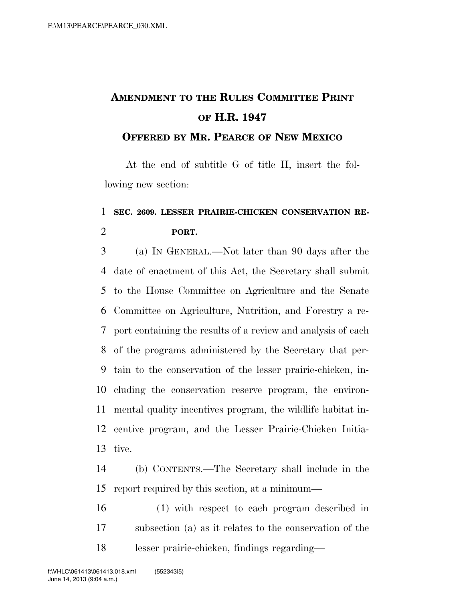## **AMENDMENT TO THE RULES COMMITTEE PRINT OF H.R. 1947**

## **OFFERED BY MR. PEARCE OF NEW MEXICO**

At the end of subtitle G of title II, insert the following new section:

## **SEC. 2609. LESSER PRAIRIE-CHICKEN CONSERVATION RE-PORT.**

 (a) IN GENERAL.—Not later than 90 days after the date of enactment of this Act, the Secretary shall submit to the House Committee on Agriculture and the Senate Committee on Agriculture, Nutrition, and Forestry a re- port containing the results of a review and analysis of each of the programs administered by the Secretary that per- tain to the conservation of the lesser prairie-chicken, in- cluding the conservation reserve program, the environ- mental quality incentives program, the wildlife habitat in- centive program, and the Lesser Prairie-Chicken Initia-tive.

 (b) CONTENTS.—The Secretary shall include in the report required by this section, at a minimum—

 (1) with respect to each program described in subsection (a) as it relates to the conservation of the lesser prairie-chicken, findings regarding—